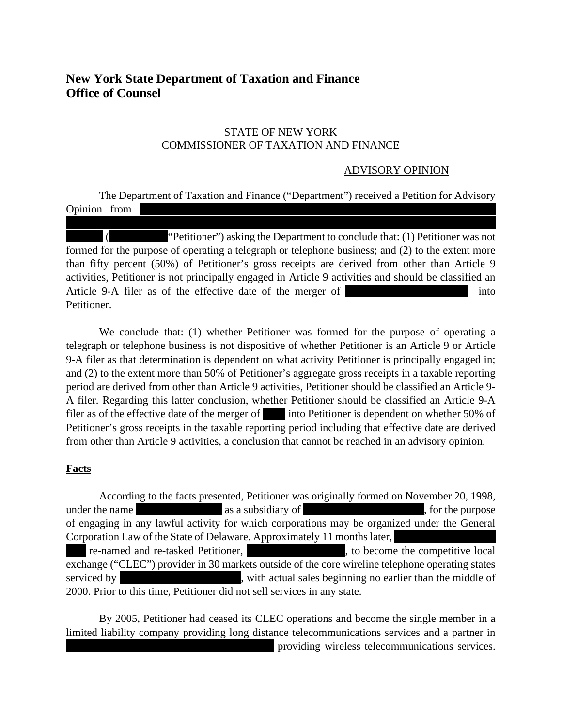# **New York State Department of Taxation and Finance Office of Counsel**

#### STATE OF NEW YORK COMMISSIONER OF TAXATION AND FINANCE

### ADVISORY OPINION

The Department of Taxation and Finance ("Department") received a Petition for Advisory Opinion from

"Petitioner") asking the Department to conclude that: (1) Petitioner was not formed for the purpose of operating a telegraph or telephone business; and (2) to the extent more than fifty percent (50%) of Petitioner's gross receipts are derived from other than Article 9 activities, Petitioner is not principally engaged in Article 9 activities and should be classified an Article 9-A filer as of the effective date of the merger of into Petitioner.

We conclude that: (1) whether Petitioner was formed for the purpose of operating a telegraph or telephone business is not dispositive of whether Petitioner is an Article 9 or Article 9-A filer as that determination is dependent on what activity Petitioner is principally engaged in; and (2) to the extent more than 50% of Petitioner's aggregate gross receipts in a taxable reporting period are derived from other than Article 9 activities, Petitioner should be classified an Article 9- A filer. Regarding this latter conclusion, whether Petitioner should be classified an Article 9-A filer as of the effective date of the merger of into Petitioner is dependent on whether 50% of Petitioner's gross receipts in the taxable reporting period including that effective date are derived from other than Article 9 activities, a conclusion that cannot be reached in an advisory opinion.

## **Facts**

According to the facts presented, Petitioner was originally formed on November 20, 1998, under the name  $\alpha$  as a subsidiary of  $\alpha$ , for the purpose of engaging in any lawful activity for which corporations may be organized under the General Corporation Law of the State of Delaware. Approximately 11 months later, Inc., re-named and re-tasked Petitioner, Inc., Inc., Inc., to become the competitive local exchange ("CLEC") provider in 30 markets outside of the core wireline telephone operating states serviced by serviced by serviced by serviced by serviced by serviced by serviced by serviced by service  $\frac{1}{\sqrt{2}}$ 

2000. Prior to this time, Petitioner did not sell services in any state. By 2005, Petitioner had ceased its CLEC operations and become the single member in a limited liability company providing long distance telecommunications services and a partner in

providing wireless telecommunications services.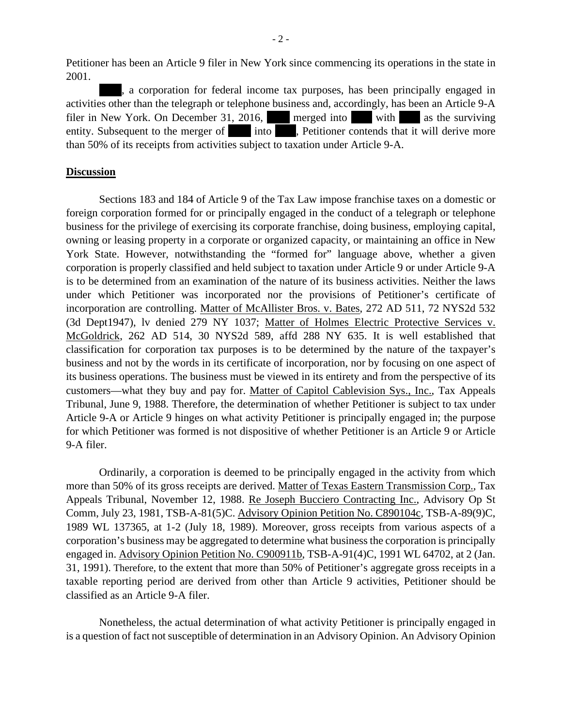Petitioner has been an Article 9 filer in New York since commencing its operations in the state in 2001.

, a corporation for federal income tax purposes, has been principally engaged in activities other than the telegraph or telephone business and, accordingly, has been an Article 9-A filer in New York. On December 31, 2016, nerged into  $\blacksquare$  with  $\blacksquare$  as the surviving entity. Subsequent to the merger of into finite perfection server contends that it will derive more than 50% of its receipts from activities subject to taxation under Article 9-A.

#### **Discussion**

Sections 183 and 184 of Article 9 of the Tax Law impose franchise taxes on a domestic or foreign corporation formed for or principally engaged in the conduct of a telegraph or telephone business for the privilege of exercising its corporate franchise, doing business, employing capital, owning or leasing property in a corporate or organized capacity, or maintaining an office in New York State. However, notwithstanding the "formed for" language above, whether a given corporation is properly classified and held subject to taxation under Article 9 or under Article 9-A is to be determined from an examination of the nature of its business activities. Neither the laws under which Petitioner was incorporated nor the provisions of Petitioner's certificate of incorporation are controlling. Matter of McAllister Bros. v. Bates, 272 AD 511, 72 NYS2d 532 (3d Dept1947), lv denied 279 NY 1037; Matter of Holmes Electric Protective Services v. McGoldrick, 262 AD 514, 30 NYS2d 589, affd 288 NY 635. It is well established that classification for corporation tax purposes is to be determined by the nature of the taxpayer's business and not by the words in its certificate of incorporation, nor by focusing on one aspect of its business operations. The business must be viewed in its entirety and from the perspective of its customers—what they buy and pay for. Matter of Capitol Cablevision Sys., Inc., Tax Appeals Tribunal, June 9, 1988. Therefore, the determination of whether Petitioner is subject to tax under Article 9-A or Article 9 hinges on what activity Petitioner is principally engaged in; the purpose for which Petitioner was formed is not dispositive of whether Petitioner is an Article 9 or Article 9-A filer.

Ordinarily, a corporation is deemed to be principally engaged in the activity from which more than 50% of its gross receipts are derived. Matter of Texas Eastern Transmission Corp., Tax Appeals Tribunal, November 12, 1988. Re Joseph Bucciero Contracting Inc., Advisory Op St Comm, July 23, 1981, TSB-A-81(5)C. Advisory Opinion Petition No. C890104c, TSB-A-89(9)C, 1989 WL 137365, at 1-2 (July 18, 1989). Moreover, gross receipts from various aspects of a corporation's business may be aggregated to determine what business the corporation is principally engaged in. Advisory Opinion Petition No. C900911b, TSB-A-91(4)C, 1991 WL 64702, at 2 (Jan. 31, 1991). Therefore, to the extent that more than 50% of Petitioner's aggregate gross receipts in a taxable reporting period are derived from other than Article 9 activities, Petitioner should be classified as an Article 9-A filer.

Nonetheless, the actual determination of what activity Petitioner is principally engaged in is a question of fact not susceptible of determination in an Advisory Opinion. An Advisory Opinion